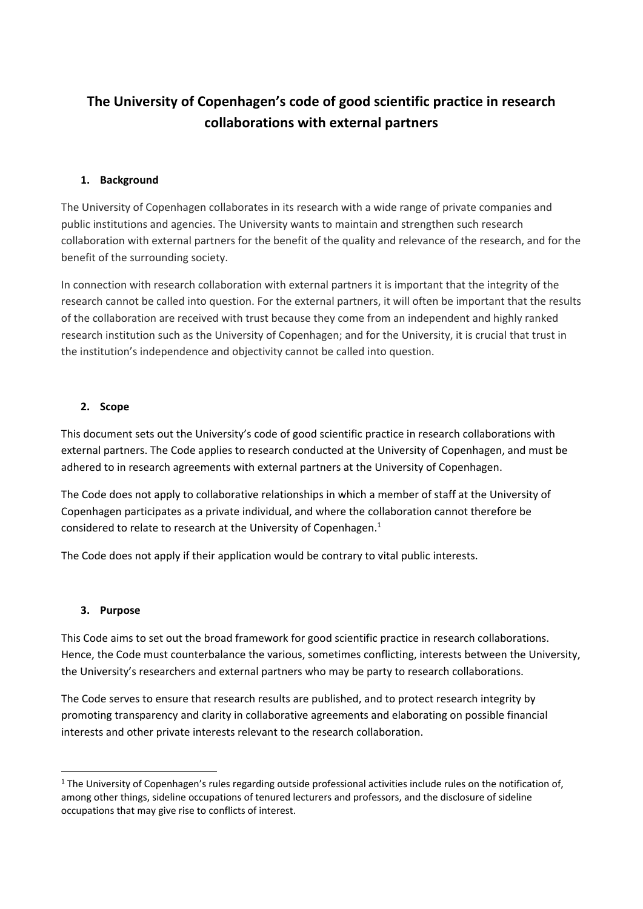# **The University of Copenhagen's code of good scientific practice in research collaborations with external partners**

## **1. Background**

 public institutions and agencies. The University wants to maintain and strengthen such research The University of Copenhagen collaborates in its research with a wide range of private companies and collaboration with external partners for the benefit of the quality and relevance of the research, and for the benefit of the surrounding society.

 of the collaboration are received with trust because they come from an independent and highly ranked research institution such as the University of Copenhagen; and for the University, it is crucial that trust in In connection with research collaboration with external partners it is important that the integrity of the research cannot be called into question. For the external partners, it will often be important that the results the institution's independence and objectivity cannot be called into question.

## **2. Scope**

 adhered to in research agreements with external partners at the University of Copenhagen. This document sets out the University's code of good scientific practice in research collaborations with external partners. The Code applies to research conducted at the University of Copenhagen, and must be

considered to relate to research at the University of Copenhagen.<sup>1</sup> The Code does not apply to collaborative relationships in which a member of staff at the University of Copenhagen participates as a private individual, and where the collaboration cannot therefore be

The Code does not apply if their application would be contrary to vital public interests.

## **3. Purpose**

This Code aims to set out the broad framework for good scientific practice in research collaborations. Hence, the Code must counterbalance the various, sometimes conflicting, interests between the University, the University's researchers and external partners who may be party to research collaborations.

The Code serves to ensure that research results are published, and to protect research integrity by promoting transparency and clarity in collaborative agreements and elaborating on possible financial interests and other private interests relevant to the research collaboration.

 among other things, sideline occupations of tenured lecturers and professors, and the disclosure of sideline  $^1$  The University of Copenhagen's rules regarding outside professional activities include rules on the notification of, occupations that may give rise to conflicts of interest.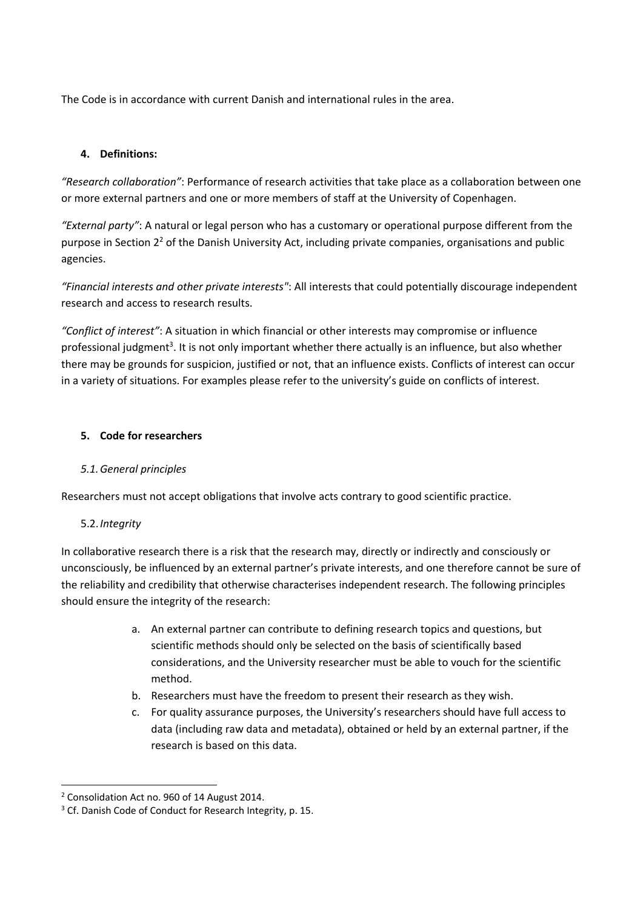The Code is in accordance with current Danish and international rules in the area.

## **4. Definitions:**

 *"Research collaboration"*: Performance of research activities that take place as a collaboration between one or more external partners and one or more members of staff at the University of Copenhagen.

 *"External party"*: A natural or legal person who has a customary or operational purpose different from the purpose in Section 2<sup>2</sup> of the Danish University Act, including private companies, organisations and public agencies.

*"Financial interests and other private interests"*: All interests that could potentially discourage independent research and access to research results.

 there may be grounds for suspicion, justified or not, that an influence exists. Conflicts of interest can occur *"Conflict of interest"*: A situation in which financial or other interests may compromise or influence professional judgment<sup>3</sup>. It is not only important whether there actually is an influence, but also whether in a variety of situations. For examples please refer to the university's guide on conflicts of interest.

## **5. Code for researchers**

## *5.1.General principles*

Researchers must not accept obligations that involve acts contrary to good scientific practice.

# 5.2.*Integrity*

In collaborative research there is a risk that the research may, directly or indirectly and consciously or unconsciously, be influenced by an external partner's private interests, and one therefore cannot be sure of the reliability and credibility that otherwise characterises independent research. The following principles should ensure the integrity of the research:

- a. An external partner can contribute to defining research topics and questions, but scientific methods should only be selected on the basis of scientifically based considerations, and the University researcher must be able to vouch for the scientific method.
- b. Researchers must have the freedom to present their research as they wish.
- c. For quality assurance purposes, the University's researchers should have full access to data (including raw data and metadata), obtained or held by an external partner, if the research is based on this data.

 <sup>2</sup> Consolidation Act no. 960 of 14 August 2014.

<sup>&</sup>lt;sup>3</sup> Cf. Danish Code of Conduct for Research Integrity, p. 15.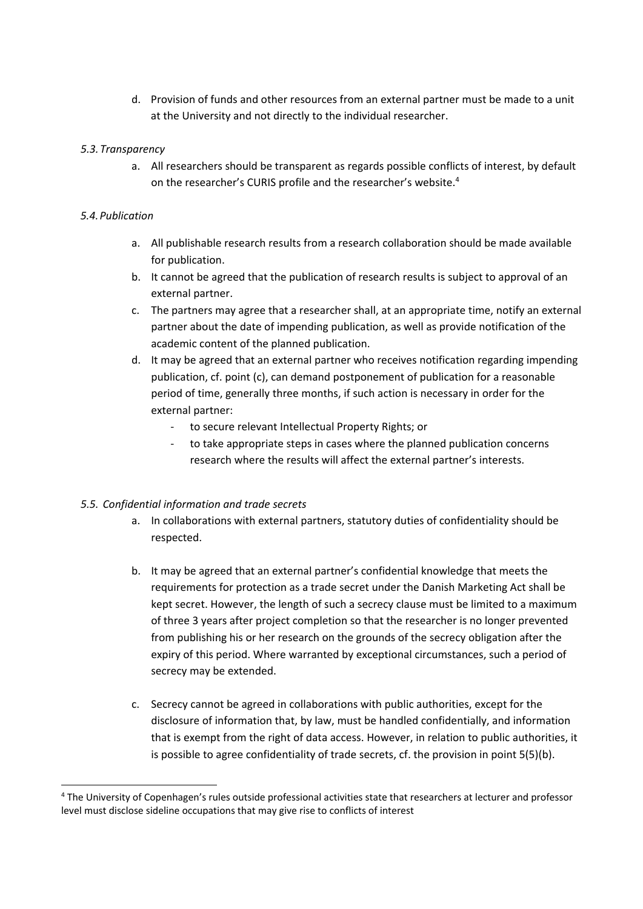at the University and not directly to the individual researcher. d. Provision of funds and other resources from an external partner must be made to a unit

#### *5.3.Transparency*

 a. All researchers should be transparent as regards possible conflicts of interest, by default on the researcher's CURIS profile and the researcher's website.<sup>4</sup>

#### *5.4.Publication*

- a. All publishable research results from a research collaboration should be made available for publication.
- b. It cannot be agreed that the publication of research results is subject to approval of an external partner.
- c. The partners may agree that a researcher shall, at an appropriate time, notify an external partner about the date of impending publication, as well as provide notification of the academic content of the planned publication.
- d. It may be agreed that an external partner who receives notification regarding impending publication, cf. point (c), can demand postponement of publication for a reasonable period of time, generally three months, if such action is necessary in order for the external partner:
	- ‐ to secure relevant Intellectual Property Rights; or
	- ‐ to take appropriate steps in cases where the planned publication concerns research where the results will affect the external partner's interests.

## *5.5. Confidential information and trade secrets*

- a. In collaborations with external partners, statutory duties of confidentiality should be respected.
- b. It may be agreed that an external partner's confidential knowledge that meets the requirements for protection as a trade secret under the Danish Marketing Act shall be kept secret. However, the length of such a secrecy clause must be limited to a maximum of three 3 years after project completion so that the researcher is no longer prevented from publishing his or her research on the grounds of the secrecy obligation after the expiry of this period. Where warranted by exceptional circumstances, such a period of secrecy may be extended.
- c. Secrecy cannot be agreed in collaborations with public authorities, except for the disclosure of information that, by law, must be handled confidentially, and information that is exempt from the right of data access. However, in relation to public authorities, it is possible to agree confidentiality of trade secrets, cf. the provision in point 5(5)(b).

<sup>&</sup>lt;sup>4</sup> The University of Copenhagen's rules outside professional activities state that researchers at lecturer and professor level must disclose sideline occupations that may give rise to conflicts of interest